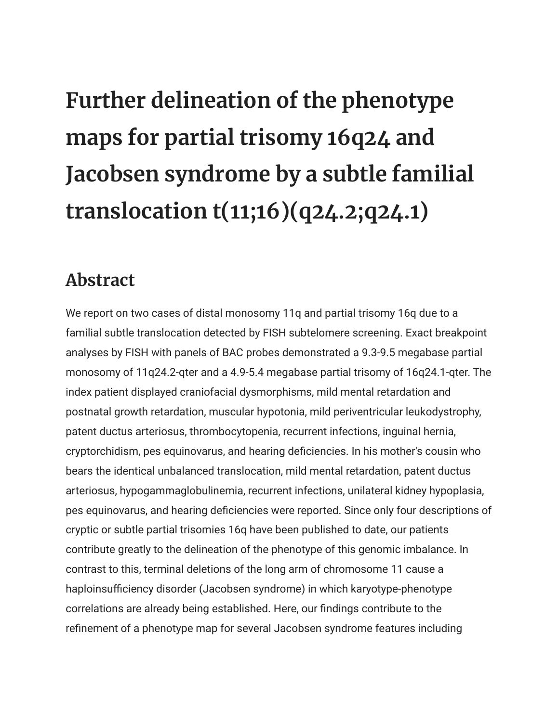## **Further delineation of the phenotype maps for partial trisomy 16q24 and Jacobsen syndrome by a subtle familial translocation t(11;16)(q24.2;q24.1)**

## **Abstract**

We report on two cases of distal monosomy 11q and partial trisomy 16q due to a familial subtle translocation detected by FISH subtelomere screening. Exact breakpoint analyses by FISH with panels of BAC probes demonstrated a 9.3-9.5 megabase partial monosomy of 11q24.2-qter and a 4.9-5.4 megabase partial trisomy of 16q24.1-qter. The index patient displayed craniofacial dysmorphisms, mild mental retardation and postnatal growth retardation, muscular hypotonia, mild periventricular leukodystrophy, patent ductus arteriosus, thrombocytopenia, recurrent infections, inguinal hernia, cryptorchidism, pes equinovarus, and hearing deficiencies. In his mother's cousin who bears the identical unbalanced translocation, mild mental retardation, patent ductus arteriosus, hypogammaglobulinemia, recurrent infections, unilateral kidney hypoplasia, pes equinovarus, and hearing deficiencies were reported. Since only four descriptions of cryptic or subtle partial trisomies 16q have been published to date, our patients contribute greatly to the delineation of the phenotype of this genomic imbalance. In contrast to this, terminal deletions of the long arm of chromosome 11 cause a haploinsufficiency disorder (Jacobsen syndrome) in which karyotype-phenotype correlations are already being established. Here, our findings contribute to the refinement of a phenotype map for several Jacobsen syndrome features including